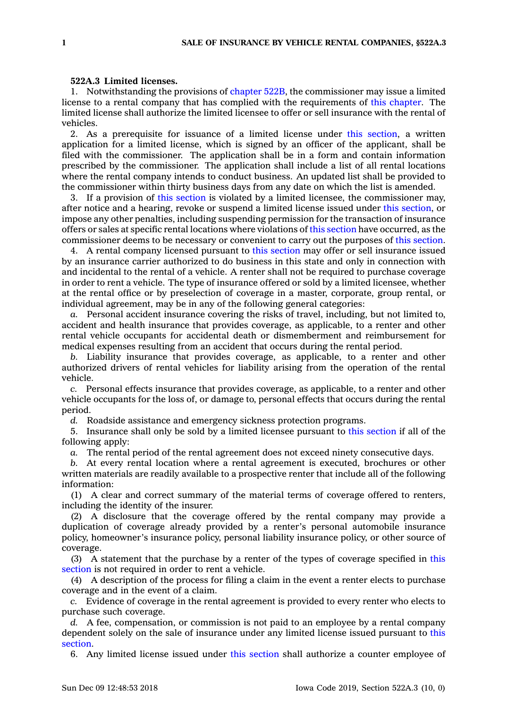## **522A.3 Limited licenses.**

1. Notwithstanding the provisions of [chapter](https://www.legis.iowa.gov/docs/code//522B.pdf) 522B, the commissioner may issue <sup>a</sup> limited license to <sup>a</sup> rental company that has complied with the requirements of this [chapter](https://www.legis.iowa.gov/docs/code//522A.pdf). The limited license shall authorize the limited licensee to offer or sell insurance with the rental of vehicles.

2. As <sup>a</sup> prerequisite for issuance of <sup>a</sup> limited license under this [section](https://www.legis.iowa.gov/docs/code/522A.3.pdf), <sup>a</sup> written application for <sup>a</sup> limited license, which is signed by an officer of the applicant, shall be filed with the commissioner. The application shall be in <sup>a</sup> form and contain information prescribed by the commissioner. The application shall include <sup>a</sup> list of all rental locations where the rental company intends to conduct business. An updated list shall be provided to the commissioner within thirty business days from any date on which the list is amended.

3. If <sup>a</sup> provision of this [section](https://www.legis.iowa.gov/docs/code/522A.3.pdf) is violated by <sup>a</sup> limited licensee, the commissioner may, after notice and <sup>a</sup> hearing, revoke or suspend <sup>a</sup> limited license issued under this [section](https://www.legis.iowa.gov/docs/code/522A.3.pdf), or impose any other penalties, including suspending permission for the transaction of insurance offers or sales at specific rental locations where violations of this [section](https://www.legis.iowa.gov/docs/code/522A.3.pdf) have occurred, as the commissioner deems to be necessary or convenient to carry out the purposes of this [section](https://www.legis.iowa.gov/docs/code/522A.3.pdf).

4. A rental company licensed pursuant to this [section](https://www.legis.iowa.gov/docs/code/522A.3.pdf) may offer or sell insurance issued by an insurance carrier authorized to do business in this state and only in connection with and incidental to the rental of <sup>a</sup> vehicle. A renter shall not be required to purchase coverage in order to rent <sup>a</sup> vehicle. The type of insurance offered or sold by <sup>a</sup> limited licensee, whether at the rental office or by preselection of coverage in <sup>a</sup> master, corporate, group rental, or individual agreement, may be in any of the following general categories:

*a.* Personal accident insurance covering the risks of travel, including, but not limited to, accident and health insurance that provides coverage, as applicable, to <sup>a</sup> renter and other rental vehicle occupants for accidental death or dismemberment and reimbursement for medical expenses resulting from an accident that occurs during the rental period.

*b.* Liability insurance that provides coverage, as applicable, to <sup>a</sup> renter and other authorized drivers of rental vehicles for liability arising from the operation of the rental vehicle.

*c.* Personal effects insurance that provides coverage, as applicable, to <sup>a</sup> renter and other vehicle occupants for the loss of, or damage to, personal effects that occurs during the rental period.

*d.* Roadside assistance and emergency sickness protection programs.

5. Insurance shall only be sold by <sup>a</sup> limited licensee pursuant to this [section](https://www.legis.iowa.gov/docs/code/522A.3.pdf) if all of the following apply:

*a.* The rental period of the rental agreement does not exceed ninety consecutive days.

*b.* At every rental location where <sup>a</sup> rental agreement is executed, brochures or other written materials are readily available to <sup>a</sup> prospective renter that include all of the following information:

(1) A clear and correct summary of the material terms of coverage offered to renters, including the identity of the insurer.

(2) A disclosure that the coverage offered by the rental company may provide <sup>a</sup> duplication of coverage already provided by <sup>a</sup> renter's personal automobile insurance policy, homeowner's insurance policy, personal liability insurance policy, or other source of coverage.

(3) A statement that the purchase by <sup>a</sup> renter of the types of coverage specified in [this](https://www.legis.iowa.gov/docs/code/522A.3.pdf) [section](https://www.legis.iowa.gov/docs/code/522A.3.pdf) is not required in order to rent <sup>a</sup> vehicle.

(4) A description of the process for filing <sup>a</sup> claim in the event <sup>a</sup> renter elects to purchase coverage and in the event of <sup>a</sup> claim.

*c.* Evidence of coverage in the rental agreement is provided to every renter who elects to purchase such coverage.

*d.* A fee, compensation, or commission is not paid to an employee by <sup>a</sup> rental company dependent solely on the sale of insurance under any limited license issued pursuant to [this](https://www.legis.iowa.gov/docs/code/522A.3.pdf) [section](https://www.legis.iowa.gov/docs/code/522A.3.pdf).

6. Any limited license issued under this [section](https://www.legis.iowa.gov/docs/code/522A.3.pdf) shall authorize <sup>a</sup> counter employee of